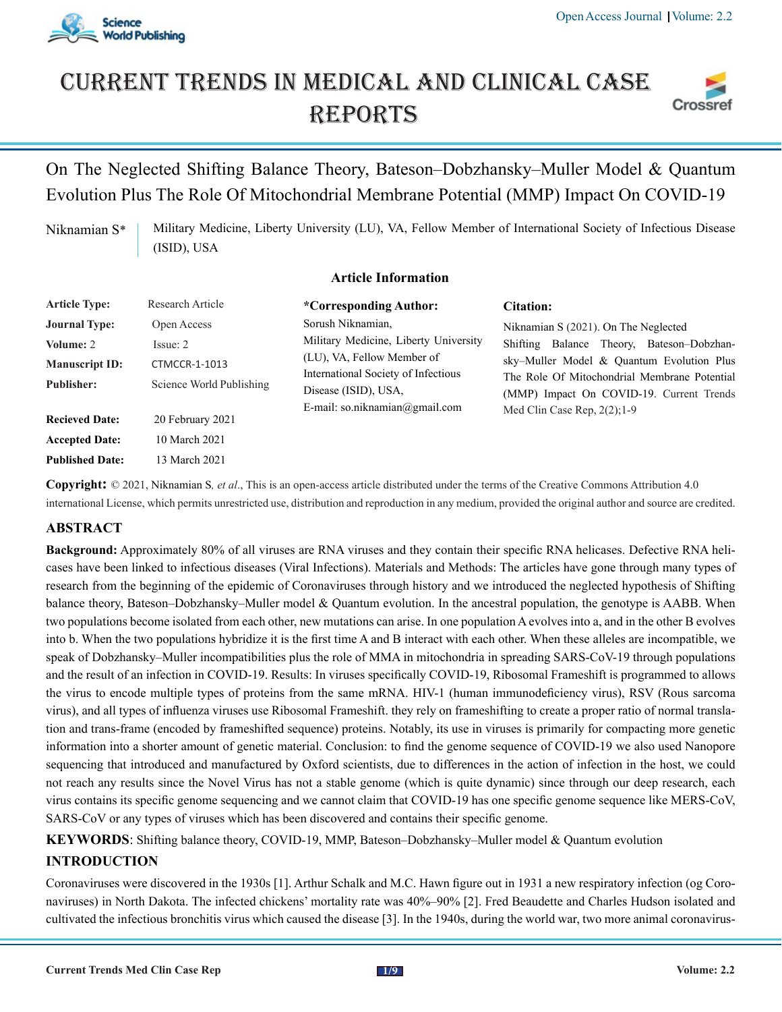

# Current trends in medical and Clinical case **REPORTS**



On The Neglected Shifting Balance Theory, Bateson–Dobzhansky–Muller Model & Quantum Evolution Plus The Role Of Mitochondrial Membrane Potential (MMP) Impact On COVID-19

Niknamian S\* Military Medicine, Liberty University (LU), VA, Fellow Member of International Society of Infectious Disease (ISID), USA

## **Article Information**

| <b>Article Type:</b>   | Research Article         | *Corresponding Author:                                                                                                                                                                                                                                                                                                                                                                                                                                     | Citation: |
|------------------------|--------------------------|------------------------------------------------------------------------------------------------------------------------------------------------------------------------------------------------------------------------------------------------------------------------------------------------------------------------------------------------------------------------------------------------------------------------------------------------------------|-----------|
| <b>Journal Type:</b>   | Open Access              | Sorush Niknamian,<br>Niknamian S (2021). On The Neglected<br>Military Medicine, Liberty University<br>Shifting Balance Theory, Bateson-Dobzhan-<br>(LU), VA, Fellow Member of<br>sky-Muller Model & Quantum Evolution Plus<br>International Society of Infectious<br>The Role Of Mitochondrial Membrane Potential<br>Disease (ISID), USA,<br>(MMP) Impact On COVID-19. Current Trends<br>E-mail: so.niknamian@gmail.com<br>Med Clin Case Rep, $2(2)$ ; 1-9 |           |
| Volume: 2              | Issue: 2                 |                                                                                                                                                                                                                                                                                                                                                                                                                                                            |           |
| <b>Manuscript ID:</b>  | CTMCCR-1-1013            |                                                                                                                                                                                                                                                                                                                                                                                                                                                            |           |
| <b>Publisher:</b>      | Science World Publishing |                                                                                                                                                                                                                                                                                                                                                                                                                                                            |           |
| <b>Recieved Date:</b>  | 20 February 2021         |                                                                                                                                                                                                                                                                                                                                                                                                                                                            |           |
| <b>Accepted Date:</b>  | 10 March 2021            |                                                                                                                                                                                                                                                                                                                                                                                                                                                            |           |
| <b>Published Date:</b> | 13 March 2021            |                                                                                                                                                                                                                                                                                                                                                                                                                                                            |           |

**Copyright:** © 2021, Niknamian S*, et al*., This is an open-access article distributed under the terms of the Creative Commons Attribution 4.0 international License, which permits unrestricted use, distribution and reproduction in any medium, provided the original author and source are credited.

## **ABSTRACT**

**Background:** Approximately 80% of all viruses are RNA viruses and they contain their specific RNA helicases. Defective RNA helicases have been linked to infectious diseases (Viral Infections). Materials and Methods: The articles have gone through many types of research from the beginning of the epidemic of Coronaviruses through history and we introduced the neglected hypothesis of Shifting balance theory, Bateson–Dobzhansky–Muller model & Quantum evolution. In the ancestral population, the genotype is AABB. When two populations become isolated from each other, new mutations can arise. In one population A evolves into a, and in the other B evolves into b. When the two populations hybridize it is the first time A and B interact with each other. When these alleles are incompatible, we speak of Dobzhansky–Muller incompatibilities plus the role of MMA in mitochondria in spreading SARS-CoV-19 through populations and the result of an infection in COVID-19. Results: In viruses specifically COVID-19, Ribosomal Frameshift is programmed to allows the virus to encode multiple types of proteins from the same mRNA. HIV-1 (human immunodeficiency virus), RSV (Rous sarcoma virus), and all types of influenza viruses use Ribosomal Frameshift. they rely on frameshifting to create a proper ratio of normal translation and trans-frame (encoded by frameshifted sequence) proteins. Notably, its use in viruses is primarily for compacting more genetic information into a shorter amount of genetic material. Conclusion: to find the genome sequence of COVID-19 we also used Nanopore sequencing that introduced and manufactured by Oxford scientists, due to differences in the action of infection in the host, we could not reach any results since the Novel Virus has not a stable genome (which is quite dynamic) since through our deep research, each virus contains its specific genome sequencing and we cannot claim that COVID-19 has one specific genome sequence like MERS-CoV, SARS-CoV or any types of viruses which has been discovered and contains their specific genome.

**KEYWORDS**: Shifting balance theory, COVID-19, MMP, Bateson–Dobzhansky–Muller model & Quantum evolution

## **INTRODUCTION**

Coronaviruses were discovered in the 1930s [1]. Arthur Schalk and M.C. Hawn figure out in 1931 a new respiratory infection (og Coronaviruses) in North Dakota. The infected chickens' mortality rate was 40%–90% [2]. Fred Beaudette and Charles Hudson isolated and cultivated the infectious bronchitis virus which caused the disease [3]. In the 1940s, during the world war, two more animal coronavirus-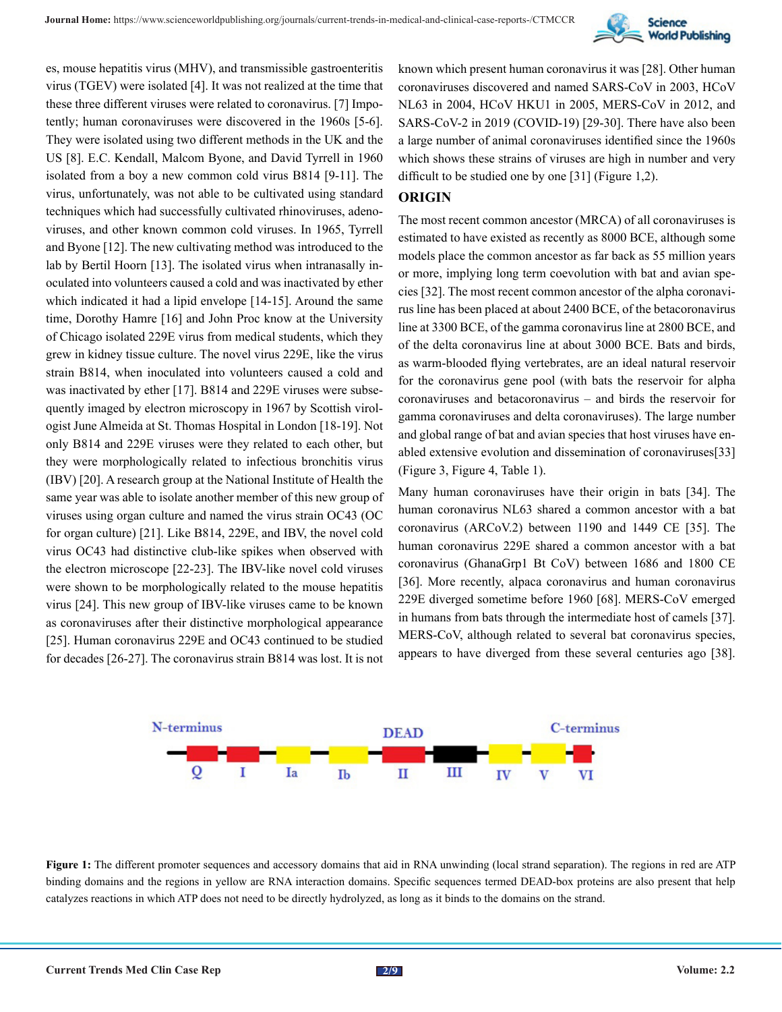

es, mouse hepatitis virus (MHV), and transmissible gastroenteritis virus (TGEV) were isolated [4]. It was not realized at the time that these three different viruses were related to coronavirus. [7] Impotently; human coronaviruses were discovered in the 1960s [5-6]. They were isolated using two different methods in the UK and the US [8]. E.C. Kendall, Malcom Byone, and David Tyrrell in 1960 isolated from a boy a new common cold virus B814 [9-11]. The virus, unfortunately, was not able to be cultivated using standard techniques which had successfully cultivated rhinoviruses, adenoviruses, and other known common cold viruses. In 1965, Tyrrell and Byone [12]. The new cultivating method was introduced to the lab by Bertil Hoorn [13]. The isolated virus when intranasally inoculated into volunteers caused a cold and was inactivated by ether which indicated it had a lipid envelope [14-15]. Around the same time, Dorothy Hamre [16] and John Proc know at the University of Chicago isolated 229E virus from medical students, which they grew in kidney tissue culture. The novel virus 229E, like the virus strain B814, when inoculated into volunteers caused a cold and was inactivated by ether [17]. B814 and 229E viruses were subsequently imaged by electron microscopy in 1967 by Scottish virologist June Almeida at St. Thomas Hospital in London [18-19]. Not only B814 and 229E viruses were they related to each other, but they were morphologically related to infectious bronchitis virus (IBV) [20]. A research group at the National Institute of Health the same year was able to isolate another member of this new group of viruses using organ culture and named the virus strain OC43 (OC for organ culture) [21]. Like B814, 229E, and IBV, the novel cold virus OC43 had distinctive club-like spikes when observed with the electron microscope [22-23]. The IBV-like novel cold viruses were shown to be morphologically related to the mouse hepatitis virus [24]. This new group of IBV-like viruses came to be known as coronaviruses after their distinctive morphological appearance [25]. Human coronavirus 229E and OC43 continued to be studied for decades [26-27]. The coronavirus strain B814 was lost. It is not

known which present human coronavirus it was [28]. Other human coronaviruses discovered and named SARS-CoV in 2003, HCoV NL63 in 2004, HCoV HKU1 in 2005, MERS-CoV in 2012, and SARS-CoV-2 in 2019 (COVID-19) [29-30]. There have also been a large number of animal coronaviruses identified since the 1960s which shows these strains of viruses are high in number and very difficult to be studied one by one [31] (Figure 1,2).

## **ORIGIN**

The most recent common ancestor (MRCA) of all coronaviruses is estimated to have existed as recently as 8000 BCE, although some models place the common ancestor as far back as 55 million years or more, implying long term coevolution with bat and avian species [32]. The most recent common ancestor of the alpha coronavirus line has been placed at about 2400 BCE, of the betacoronavirus line at 3300 BCE, of the gamma coronavirus line at 2800 BCE, and of the delta coronavirus line at about 3000 BCE. Bats and birds, as warm-blooded flying vertebrates, are an ideal natural reservoir for the coronavirus gene pool (with bats the reservoir for alpha coronaviruses and betacoronavirus – and birds the reservoir for gamma coronaviruses and delta coronaviruses). The large number and global range of bat and avian species that host viruses have enabled extensive evolution and dissemination of coronaviruses[33] (Figure 3, Figure 4, Table 1).

Many human coronaviruses have their origin in bats [34]. The human coronavirus NL63 shared a common ancestor with a bat coronavirus (ARCoV.2) between 1190 and 1449 CE [35]. The human coronavirus 229E shared a common ancestor with a bat coronavirus (GhanaGrp1 Bt CoV) between 1686 and 1800 CE [36]. More recently, alpaca coronavirus and human coronavirus 229E diverged sometime before 1960 [68]. MERS-CoV emerged in humans from bats through the intermediate host of camels [37]. MERS-CoV, although related to several bat coronavirus species, appears to have diverged from these several centuries ago [38].



**Figure 1:** The different promoter sequences and accessory domains that aid in RNA unwinding (local strand separation). The regions in red are ATP binding domains and the regions in yellow are RNA interaction domains. Specific sequences termed DEAD-box proteins are also present that help catalyzes reactions in which ATP does not need to be directly hydrolyzed, as long as it binds to the domains on the strand.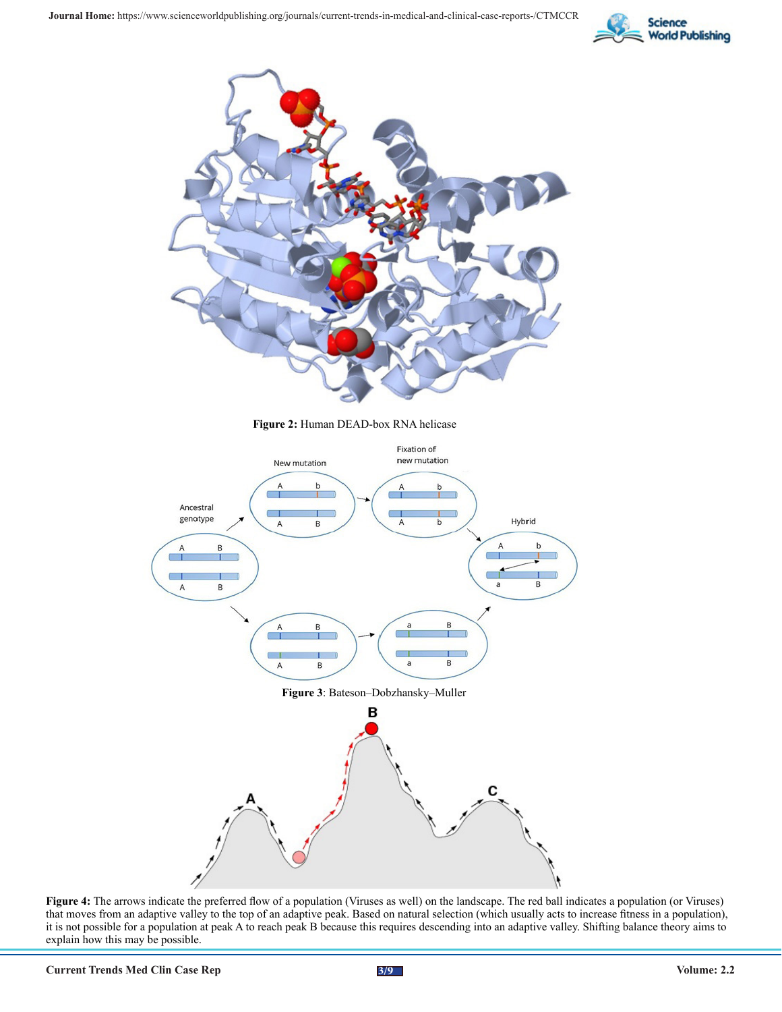



**Figure 2:** Human DEAD-box RNA helicase



**Figure 4:** The arrows indicate the preferred flow of a population (Viruses as well) on the landscape. The red ball indicates a population (or Viruses) that moves from an adaptive valley to the top of an adaptive peak. Based on natural selection (which usually acts to increase fitness in a population), it is not possible for a population at peak A to reach peak B because this requires descending into an adaptive valley. Shifting balance theory aims to explain how this may be possible.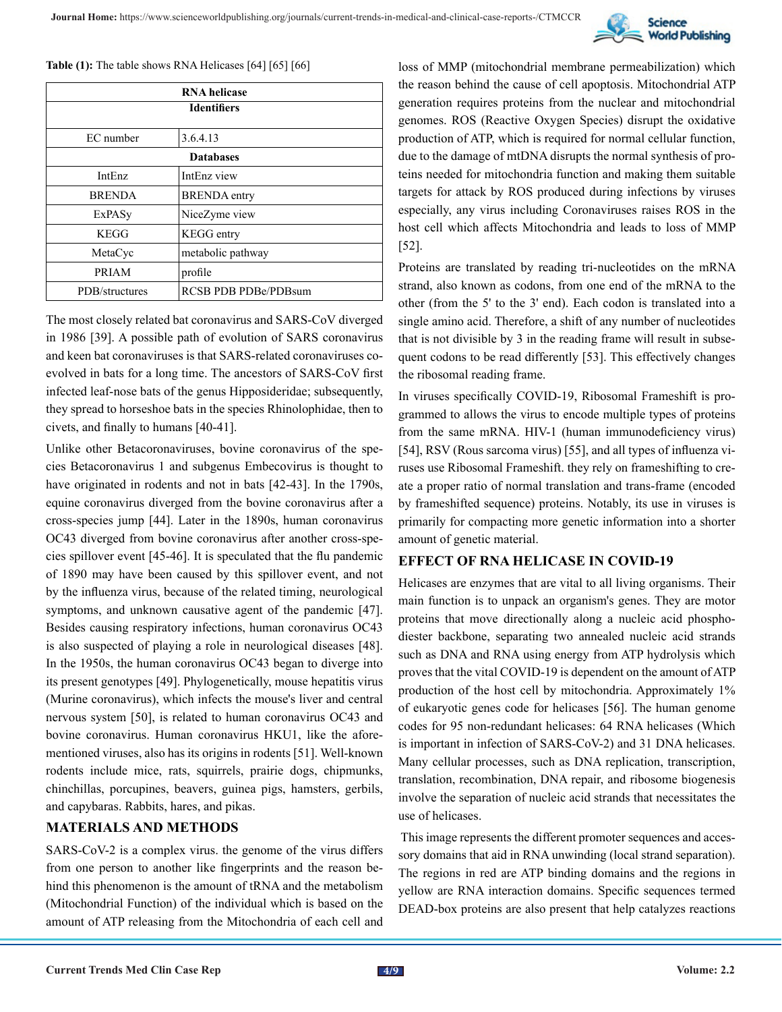

| <b>RNA</b> helicase |                      |  |  |
|---------------------|----------------------|--|--|
| <b>Identifiers</b>  |                      |  |  |
| EC number           | 3.6.4.13             |  |  |
| <b>Databases</b>    |                      |  |  |
| <b>IntEnz</b>       | IntEnz view          |  |  |
| <b>BRENDA</b>       | <b>BRENDA</b> entry  |  |  |
| <b>ExPASy</b>       | NiceZyme view        |  |  |
| <b>KEGG</b>         | <b>KEGG</b> entry    |  |  |
| MetaCyc             | metabolic pathway    |  |  |
| PRIAM               | profile              |  |  |
| PDB/structures      | RCSB PDB PDBe/PDBsum |  |  |

**Table (1):** The table shows RNA Helicases [64] [65] [66]

The most closely related bat coronavirus and SARS-CoV diverged in 1986 [39]. A possible path of evolution of SARS coronavirus and keen bat coronaviruses is that SARS-related coronaviruses coevolved in bats for a long time. The ancestors of SARS-CoV first infected leaf-nose bats of the genus Hipposideridae; subsequently, they spread to horseshoe bats in the species Rhinolophidae, then to civets, and finally to humans [40-41].

Unlike other Betacoronaviruses, bovine coronavirus of the species Betacoronavirus 1 and subgenus Embecovirus is thought to have originated in rodents and not in bats [42-43]. In the 1790s, equine coronavirus diverged from the bovine coronavirus after a cross-species jump [44]. Later in the 1890s, human coronavirus OC43 diverged from bovine coronavirus after another cross-species spillover event [45-46]. It is speculated that the flu pandemic of 1890 may have been caused by this spillover event, and not by the influenza virus, because of the related timing, neurological symptoms, and unknown causative agent of the pandemic [47]. Besides causing respiratory infections, human coronavirus OC43 is also suspected of playing a role in neurological diseases [48]. In the 1950s, the human coronavirus OC43 began to diverge into its present genotypes [49]. Phylogenetically, mouse hepatitis virus (Murine coronavirus), which infects the mouse's liver and central nervous system [50], is related to human coronavirus OC43 and bovine coronavirus. Human coronavirus HKU1, like the aforementioned viruses, also has its origins in rodents [51]. Well-known rodents include mice, rats, squirrels, prairie dogs, chipmunks, chinchillas, porcupines, beavers, guinea pigs, hamsters, gerbils, and capybaras. Rabbits, hares, and pikas.

#### **MATERIALS AND METHODS**

SARS-CoV-2 is a complex virus. the genome of the virus differs from one person to another like fingerprints and the reason behind this phenomenon is the amount of tRNA and the metabolism (Mitochondrial Function) of the individual which is based on the amount of ATP releasing from the Mitochondria of each cell and

loss of MMP (mitochondrial membrane permeabilization) which the reason behind the cause of cell apoptosis. Mitochondrial ATP generation requires proteins from the nuclear and mitochondrial genomes. ROS (Reactive Oxygen Species) disrupt the oxidative production of ATP, which is required for normal cellular function, due to the damage of mtDNA disrupts the normal synthesis of proteins needed for mitochondria function and making them suitable targets for attack by ROS produced during infections by viruses especially, any virus including Coronaviruses raises ROS in the host cell which affects Mitochondria and leads to loss of MMP [52].

Proteins are translated by reading tri-nucleotides on the mRNA strand, also known as codons, from one end of the mRNA to the other (from the 5' to the 3' end). Each codon is translated into a single amino acid. Therefore, a shift of any number of nucleotides that is not divisible by 3 in the reading frame will result in subsequent codons to be read differently [53]. This effectively changes the ribosomal reading frame.

In viruses specifically COVID-19, Ribosomal Frameshift is programmed to allows the virus to encode multiple types of proteins from the same mRNA. HIV-1 (human immunodeficiency virus) [54], RSV (Rous sarcoma virus) [55], and all types of influenza viruses use Ribosomal Frameshift. they rely on frameshifting to create a proper ratio of normal translation and trans-frame (encoded by frameshifted sequence) proteins. Notably, its use in viruses is primarily for compacting more genetic information into a shorter amount of genetic material.

#### **EFFECT OF RNA HELICASE IN COVID-19**

Helicases are enzymes that are vital to all living organisms. Their main function is to unpack an organism's genes. They are motor proteins that move directionally along a nucleic acid phosphodiester backbone, separating two annealed nucleic acid strands such as DNA and RNA using energy from ATP hydrolysis which proves that the vital COVID-19 is dependent on the amount of ATP production of the host cell by mitochondria. Approximately 1% of eukaryotic genes code for helicases [56]. The human genome codes for 95 non-redundant helicases: 64 RNA helicases (Which is important in infection of SARS-CoV-2) and 31 DNA helicases. Many cellular processes, such as DNA replication, transcription, translation, recombination, DNA repair, and ribosome biogenesis involve the separation of nucleic acid strands that necessitates the use of helicases.

 This image represents the different promoter sequences and accessory domains that aid in RNA unwinding (local strand separation). The regions in red are ATP binding domains and the regions in yellow are RNA interaction domains. Specific sequences termed DEAD-box proteins are also present that help catalyzes reactions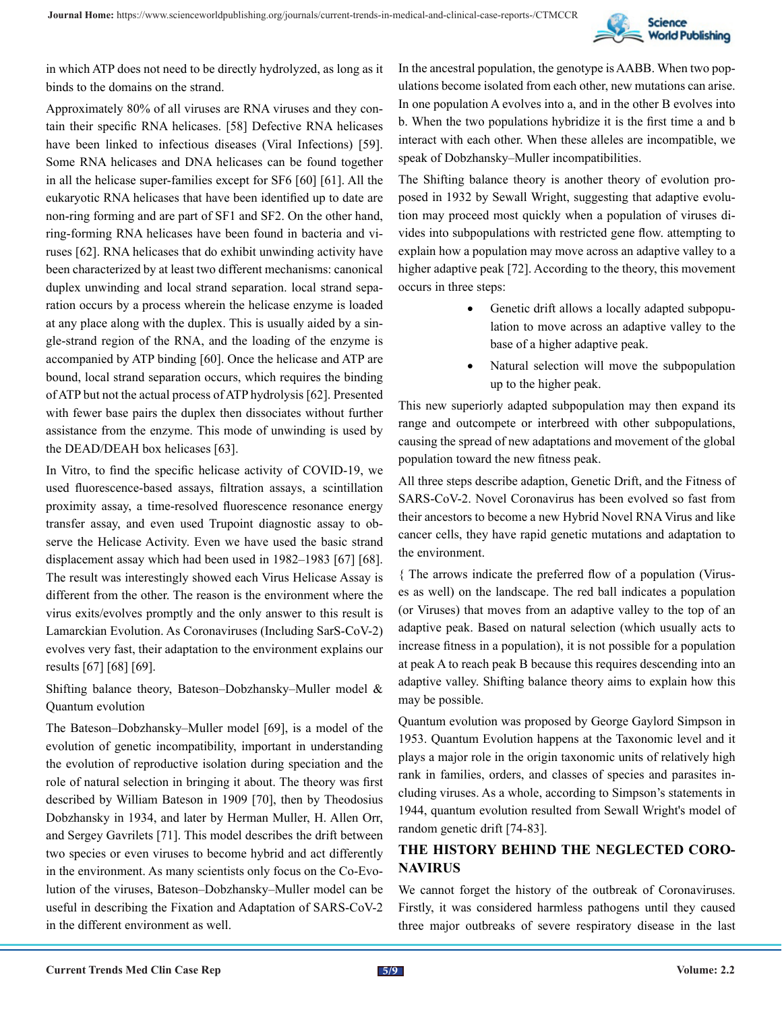

in which ATP does not need to be directly hydrolyzed, as long as it binds to the domains on the strand.

Approximately 80% of all viruses are RNA viruses and they contain their specific RNA helicases. [58] Defective RNA helicases have been linked to infectious diseases (Viral Infections) [59]. Some RNA helicases and DNA helicases can be found together in all the helicase super-families except for SF6 [60] [61]. All the eukaryotic RNA helicases that have been identified up to date are non-ring forming and are part of SF1 and SF2. On the other hand, ring-forming RNA helicases have been found in bacteria and viruses [62]. RNA helicases that do exhibit unwinding activity have been characterized by at least two different mechanisms: canonical duplex unwinding and local strand separation. local strand separation occurs by a process wherein the helicase enzyme is loaded at any place along with the duplex. This is usually aided by a single-strand region of the RNA, and the loading of the enzyme is accompanied by ATP binding [60]. Once the helicase and ATP are bound, local strand separation occurs, which requires the binding of ATP but not the actual process of ATP hydrolysis [62]. Presented with fewer base pairs the duplex then dissociates without further assistance from the enzyme. This mode of unwinding is used by the DEAD/DEAH box helicases [63].

In Vitro, to find the specific helicase activity of COVID-19, we used fluorescence-based assays, filtration assays, a scintillation proximity assay, a time-resolved fluorescence resonance energy transfer assay, and even used Trupoint diagnostic assay to observe the Helicase Activity. Even we have used the basic strand displacement assay which had been used in 1982–1983 [67] [68]. The result was interestingly showed each Virus Helicase Assay is different from the other. The reason is the environment where the virus exits/evolves promptly and the only answer to this result is Lamarckian Evolution. As Coronaviruses (Including SarS-CoV-2) evolves very fast, their adaptation to the environment explains our results [67] [68] [69].

Shifting balance theory, Bateson–Dobzhansky–Muller model & Quantum evolution

The Bateson–Dobzhansky–Muller model [69], is a model of the evolution of genetic incompatibility, important in understanding the evolution of reproductive isolation during speciation and the role of natural selection in bringing it about. The theory was first described by William Bateson in 1909 [70], then by Theodosius Dobzhansky in 1934, and later by Herman Muller, H. Allen Orr, and Sergey Gavrilets [71]. This model describes the drift between two species or even viruses to become hybrid and act differently in the environment. As many scientists only focus on the Co-Evolution of the viruses, Bateson–Dobzhansky–Muller model can be useful in describing the Fixation and Adaptation of SARS-CoV-2 in the different environment as well.

In the ancestral population, the genotype is AABB. When two populations become isolated from each other, new mutations can arise. In one population A evolves into a, and in the other B evolves into b. When the two populations hybridize it is the first time a and b interact with each other. When these alleles are incompatible, we speak of Dobzhansky–Muller incompatibilities.

The Shifting balance theory is another theory of evolution proposed in 1932 by Sewall Wright, suggesting that adaptive evolution may proceed most quickly when a population of viruses divides into subpopulations with restricted gene flow. attempting to explain how a population may move across an adaptive valley to a higher adaptive peak [72]. According to the theory, this movement occurs in three steps:

- Genetic drift allows a locally adapted subpopulation to move across an adaptive valley to the base of a higher adaptive peak.
- Natural selection will move the subpopulation up to the higher peak.

This new superiorly adapted subpopulation may then expand its range and outcompete or interbreed with other subpopulations, causing the spread of new adaptations and movement of the global population toward the new fitness peak.

All three steps describe adaption, Genetic Drift, and the Fitness of SARS-CoV-2. Novel Coronavirus has been evolved so fast from their ancestors to become a new Hybrid Novel RNA Virus and like cancer cells, they have rapid genetic mutations and adaptation to the environment.

{ The arrows indicate the preferred flow of a population (Viruses as well) on the landscape. The red ball indicates a population (or Viruses) that moves from an adaptive valley to the top of an adaptive peak. Based on natural selection (which usually acts to increase fitness in a population), it is not possible for a population at peak A to reach peak B because this requires descending into an adaptive valley. Shifting balance theory aims to explain how this may be possible.

Quantum evolution was proposed by George Gaylord Simpson in 1953. Quantum Evolution happens at the Taxonomic level and it plays a major role in the origin taxonomic units of relatively high rank in families, orders, and classes of species and parasites including viruses. As a whole, according to Simpson's statements in 1944, quantum evolution resulted from Sewall Wright's model of random genetic drift [74-83].

# **THE HISTORY BEHIND THE NEGLECTED CORO-NAVIRUS**

We cannot forget the history of the outbreak of Coronaviruses. Firstly, it was considered harmless pathogens until they caused three major outbreaks of severe respiratory disease in the last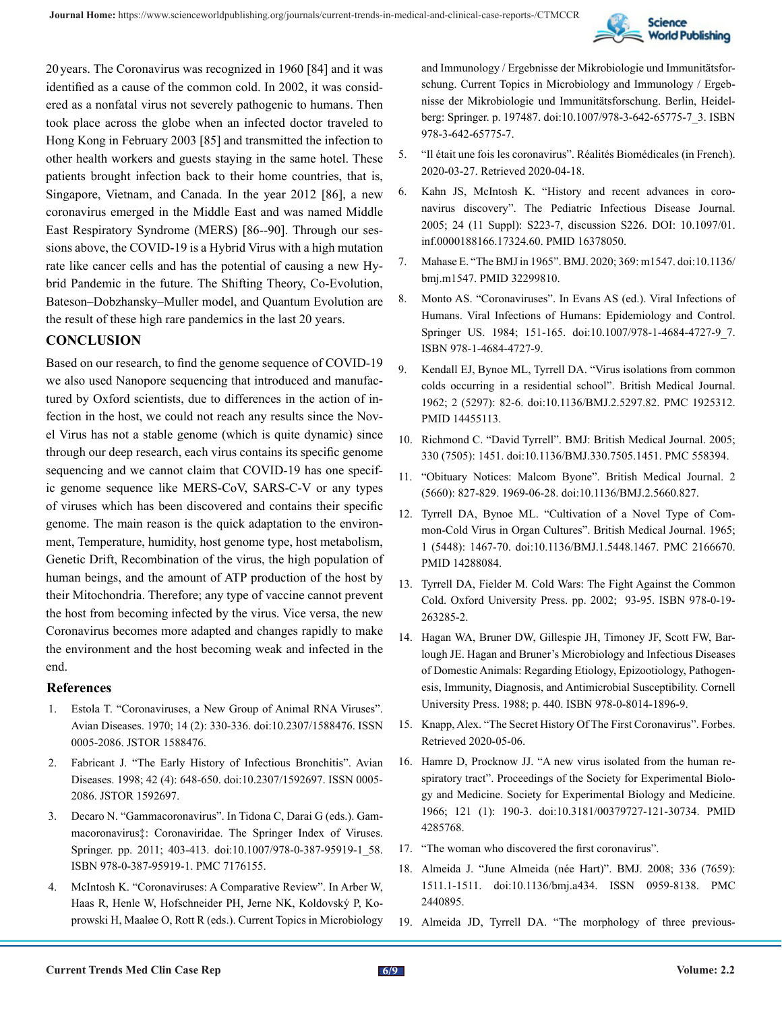

20years. The Coronavirus was recognized in 1960 [84] and it was identified as a cause of the common cold. In 2002, it was considered as a nonfatal virus not severely pathogenic to humans. Then took place across the globe when an infected doctor traveled to Hong Kong in February 2003 [85] and transmitted the infection to other health workers and guests staying in the same hotel. These patients brought infection back to their home countries, that is, Singapore, Vietnam, and Canada. In the year 2012 [86], a new coronavirus emerged in the Middle East and was named Middle East Respiratory Syndrome (MERS) [86--90]. Through our sessions above, the COVID-19 is a Hybrid Virus with a high mutation rate like cancer cells and has the potential of causing a new Hybrid Pandemic in the future. The Shifting Theory, Co-Evolution, Bateson–Dobzhansky–Muller model, and Quantum Evolution are the result of these high rare pandemics in the last 20 years.

## **CONCLUSION**

Based on our research, to find the genome sequence of COVID-19 we also used Nanopore sequencing that introduced and manufactured by Oxford scientists, due to differences in the action of infection in the host, we could not reach any results since the Novel Virus has not a stable genome (which is quite dynamic) since through our deep research, each virus contains its specific genome sequencing and we cannot claim that COVID-19 has one specific genome sequence like MERS-CoV, SARS-C-V or any types of viruses which has been discovered and contains their specific genome. The main reason is the quick adaptation to the environment, Temperature, humidity, host genome type, host metabolism, Genetic Drift, Recombination of the virus, the high population of human beings, and the amount of ATP production of the host by their Mitochondria. Therefore; any type of vaccine cannot prevent the host from becoming infected by the virus. Vice versa, the new Coronavirus becomes more adapted and changes rapidly to make the environment and the host becoming weak and infected in the end.

#### **References**

- 1. [Estola T. "Coronaviruses, a New Group of Animal RNA Viruses".](https://pubmed.ncbi.nlm.nih.gov/4316767/) [Avian Diseases. 1970; 14 \(2\): 330-336. doi:10.2307/1588476. ISSN](https://pubmed.ncbi.nlm.nih.gov/4316767/)  [0005-2086. JSTOR 1588476.](https://pubmed.ncbi.nlm.nih.gov/4316767/)
- 2. [Fabricant J. "The Early History of Infectious Bronchitis". Avian](https://pubmed.ncbi.nlm.nih.gov/9876830/)  [Diseases. 1998; 42 \(4\): 648-650. doi:10.2307/1592697. ISSN 0005-](https://pubmed.ncbi.nlm.nih.gov/9876830/) [2086. JSTOR 1592697.](https://pubmed.ncbi.nlm.nih.gov/9876830/)
- 3. [Decaro N. "Gammacoronavirus". In Tidona C, Darai G \(eds.\). Gam](https://www.ncbi.nlm.nih.gov/pmc/articles/PMC7176155/)[macoronavirus‡: Coronaviridae. The Springer Index of Viruses.](https://www.ncbi.nlm.nih.gov/pmc/articles/PMC7176155/) [Springer. pp. 2011; 403-413. doi:10.1007/978-0-387-95919-1\\_58.](https://www.ncbi.nlm.nih.gov/pmc/articles/PMC7176155/) [ISBN 978-0-387-95919-1. PMC 7176155.](https://www.ncbi.nlm.nih.gov/pmc/articles/PMC7176155/)
- 4. [McIntosh K. "Coronaviruses: A Comparative Review". In Arber W,](https://link.springer.com/chapter/10.1007/978-3-642-65775-7_3) [Haas R, Henle W, Hofschneider PH, Jerne NK, Koldovský P, Ko](https://link.springer.com/chapter/10.1007/978-3-642-65775-7_3)[prowski H, Maaløe O, Rott R \(eds.\). Current Topics in Microbiology](https://link.springer.com/chapter/10.1007/978-3-642-65775-7_3)

[and Immunology / Ergebnisse der Mikrobiologie und Immunitätsfor](https://link.springer.com/chapter/10.1007/978-3-642-65775-7_3)[schung. Current Topics in Microbiology and Immunology / Ergeb](https://link.springer.com/chapter/10.1007/978-3-642-65775-7_3)[nisse der Mikrobiologie und Immunitätsforschung. Berlin, Heidel](https://link.springer.com/chapter/10.1007/978-3-642-65775-7_3)[berg: Springer. p. 197487. doi:10.1007/978-3-642-65775-7\\_3. ISBN](https://link.springer.com/chapter/10.1007/978-3-642-65775-7_3) [978-3-642-65775-7.](https://link.springer.com/chapter/10.1007/978-3-642-65775-7_3)

- 5. "Il était une fois les coronavirus". Réalités Biomédicales (in French). 2020-03-27. Retrieved 2020-04-18.
- 6. [Kahn JS, McIntosh K. "History and recent advances in coro](https://pubmed.ncbi.nlm.nih.gov/16378050/)[navirus discovery". The Pediatric Infectious Disease Journal.](https://pubmed.ncbi.nlm.nih.gov/16378050/) [2005; 24 \(11 Suppl\): S223-7, discussion S226. DOI: 10.1097/01.](https://pubmed.ncbi.nlm.nih.gov/16378050/) [inf.0000188166.17324.60. PMID 16378050.](https://pubmed.ncbi.nlm.nih.gov/16378050/)
- 7. Mahase E. "The BMJ in 1965". BMJ. 2020; 369: m1547. doi:10.1136/ bmj.m1547. PMID 32299810.
- 8. [Monto AS. "Coronaviruses". In Evans AS \(ed.\). Viral Infections of](https://www.springer.com/gp/book/9781461332398) [Humans. Viral Infections of Humans: Epidemiology and Control.](https://www.springer.com/gp/book/9781461332398) [Springer US. 1984; 151-165. doi:10.1007/978-1-4684-4727-9\\_7.](https://www.springer.com/gp/book/9781461332398) [ISBN 978-1-4684-4727-9.](https://www.springer.com/gp/book/9781461332398)
- 9. [Kendall EJ, Bynoe ML, Tyrrell DA. "Virus isolations from common](https://www.ncbi.nlm.nih.gov/pmc/articles/PMC1925312/) [colds occurring in a residential school". British Medical Journal.](https://www.ncbi.nlm.nih.gov/pmc/articles/PMC1925312/)  [1962; 2 \(5297\): 82-6. doi:10.1136/BMJ.2.5297.82. PMC 1925312.](https://www.ncbi.nlm.nih.gov/pmc/articles/PMC1925312/)  [PMID 14455113.](https://www.ncbi.nlm.nih.gov/pmc/articles/PMC1925312/)
- 10. [Richmond C. "David Tyrrell". BMJ: British Medical Journal. 2005;](https://www.ncbi.nlm.nih.gov/pmc/articles/PMC558394/) [330 \(7505\): 1451. doi:10.1136/BMJ.330.7505.1451. PMC 558394.](https://www.ncbi.nlm.nih.gov/pmc/articles/PMC558394/)
- 11. "Obituary Notices: Malcom Byone". British Medical Journal. 2 (5660): 827-829. 1969-06-28. doi:10.1136/BMJ.2.5660.827.
- 12. [Tyrrell DA, Bynoe ML. "Cultivation of a Novel Type of Com](https://pubmed.ncbi.nlm.nih.gov/14288084/)[mon-Cold Virus in Organ Cultures". British Medical Journal. 1965;](https://pubmed.ncbi.nlm.nih.gov/14288084/) [1 \(5448\): 1467-70. doi:10.1136/BMJ.1.5448.1467. PMC 2166670.](https://pubmed.ncbi.nlm.nih.gov/14288084/) [PMID 14288084.](https://pubmed.ncbi.nlm.nih.gov/14288084/)
- 13. [Tyrrell DA, Fielder M. Cold Wars: The Fight Against the Common](https://www.ncbi.nlm.nih.gov/pmc/articles/PMC1124964/) [Cold. Oxford University Press. pp. 2002; 93-95. ISBN 978-0-19-](https://www.ncbi.nlm.nih.gov/pmc/articles/PMC1124964/) [263285-2.](https://www.ncbi.nlm.nih.gov/pmc/articles/PMC1124964/)
- 14. [Hagan WA, Bruner DW, Gillespie JH, Timoney JF, Scott FW, Bar](https://www.worldcat.org/title/hagan-and-bruners-microbiology-and-infectious-diseases-of-domestic-animals-with-reference-to-etiology-epizootiology-pathogenesis-immunity-diagnosis-and-antimicrobial-susceptibility/oclc/17775257)[lough JE. Hagan and Bruner's Microbiology and Infectious Diseases](https://www.worldcat.org/title/hagan-and-bruners-microbiology-and-infectious-diseases-of-domestic-animals-with-reference-to-etiology-epizootiology-pathogenesis-immunity-diagnosis-and-antimicrobial-susceptibility/oclc/17775257) [of Domestic Animals: Regarding Etiology, Epizootiology, Pathogen](https://www.worldcat.org/title/hagan-and-bruners-microbiology-and-infectious-diseases-of-domestic-animals-with-reference-to-etiology-epizootiology-pathogenesis-immunity-diagnosis-and-antimicrobial-susceptibility/oclc/17775257)[esis, Immunity, Diagnosis, and Antimicrobial Susceptibility. Cornell](https://www.worldcat.org/title/hagan-and-bruners-microbiology-and-infectious-diseases-of-domestic-animals-with-reference-to-etiology-epizootiology-pathogenesis-immunity-diagnosis-and-antimicrobial-susceptibility/oclc/17775257) [University Press. 1988; p. 440. ISBN 978-0-8014-1896-9.](https://www.worldcat.org/title/hagan-and-bruners-microbiology-and-infectious-diseases-of-domestic-animals-with-reference-to-etiology-epizootiology-pathogenesis-immunity-diagnosis-and-antimicrobial-susceptibility/oclc/17775257)
- 15. Knapp, Alex. "The Secret History Of The First Coronavirus". Forbes. Retrieved 2020-05-06.
- 16. [Hamre D, Procknow JJ. "A new virus isolated from the human re](https://pubmed.ncbi.nlm.nih.gov/4285768/)[spiratory tract". Proceedings of the Society for Experimental Biolo](https://pubmed.ncbi.nlm.nih.gov/4285768/)[gy and Medicine. Society for Experimental Biology and Medicine.](https://pubmed.ncbi.nlm.nih.gov/4285768/) [1966; 121 \(1\): 190-3. doi:10.3181/00379727-121-30734. PMID](https://pubmed.ncbi.nlm.nih.gov/4285768/) [4285768.](https://pubmed.ncbi.nlm.nih.gov/4285768/)
- 17. "The woman who discovered the first coronavirus".
- 18. [Almeida J. "June Almeida \(née Hart\)". BMJ. 2008; 336 \(7659\):](https://www.ncbi.nlm.nih.gov/pmc/articles/PMC2440895/) [1511.1-1511. doi:10.1136/bmj.a434. ISSN 0959-8138. PMC](https://www.ncbi.nlm.nih.gov/pmc/articles/PMC2440895/)  [2440895.](https://www.ncbi.nlm.nih.gov/pmc/articles/PMC2440895/)
- 19. [Almeida JD, Tyrrell DA. "The morphology of three previous-](https://pubmed.ncbi.nlm.nih.gov/4293939/)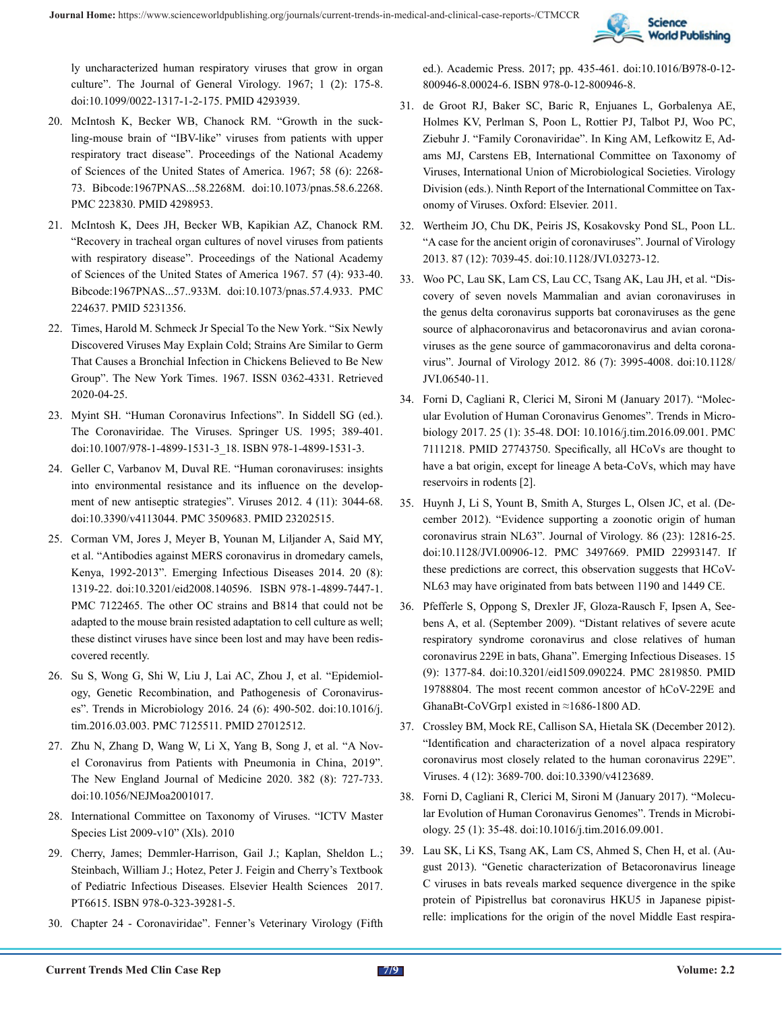

[ly uncharacterized human respiratory viruses that grow in organ](https://pubmed.ncbi.nlm.nih.gov/4293939/) [culture". The Journal of General Virology. 1967; 1 \(2\): 175-8.](https://pubmed.ncbi.nlm.nih.gov/4293939/) [doi:10.1099/0022-1317-1-2-175. PMID 4293939.](https://pubmed.ncbi.nlm.nih.gov/4293939/)

- 20. McIntosh K, Becker WB, Chanock RM. "Growth in the suckling-mouse brain of "IBV-like" viruses from patients with upper respiratory tract disease". Proceedings of the National Academy of Sciences of the United States of America. 1967; 58 (6): 2268- 73. Bibcode:1967PNAS...58.2268M. doi:10.1073/pnas.58.6.2268. PMC 223830. PMID 4298953.
- 21. [McIntosh K, Dees JH, Becker WB, Kapikian AZ, Chanock RM.](https://www.ncbi.nlm.nih.gov/pmc/articles/PMC224637/) ["Recovery in tracheal organ cultures of novel viruses from patients](https://www.ncbi.nlm.nih.gov/pmc/articles/PMC224637/) [with respiratory disease". Proceedings of the National Academy](https://www.ncbi.nlm.nih.gov/pmc/articles/PMC224637/) [of Sciences of the United States of America 1967. 57 \(4\): 933-40.](https://www.ncbi.nlm.nih.gov/pmc/articles/PMC224637/) [Bibcode:1967PNAS...57..933M. doi:10.1073/pnas.57.4.933. PMC](https://www.ncbi.nlm.nih.gov/pmc/articles/PMC224637/)  [224637. PMID 5231356.](https://www.ncbi.nlm.nih.gov/pmc/articles/PMC224637/)
- 22. [Times, Harold M. Schmeck Jr Special To the New York. "Six Newly](https://www.nytimes.com/1967/05/05/archives/six-newly-discovered-viruses-may-explain-cold-strains-are-similar.html) [Discovered Viruses May Explain Cold; Strains Are Similar to Germ](https://www.nytimes.com/1967/05/05/archives/six-newly-discovered-viruses-may-explain-cold-strains-are-similar.html)  [That Causes a Bronchial Infection in Chickens Believed to Be New](https://www.nytimes.com/1967/05/05/archives/six-newly-discovered-viruses-may-explain-cold-strains-are-similar.html) [Group". The New York Times. 1967. ISSN 0362-4331. Retrieved](https://www.nytimes.com/1967/05/05/archives/six-newly-discovered-viruses-may-explain-cold-strains-are-similar.html) [2020-04-25.](https://www.nytimes.com/1967/05/05/archives/six-newly-discovered-viruses-may-explain-cold-strains-are-similar.html)
- 23. [Myint SH. "Human Coronavirus Infections". In Siddell SG \(ed.\).](https://link.springer.com/chapter/10.1007/978-1-4899-1531-3_18)  [The Coronaviridae. The Viruses. Springer US. 1995; 389-401.](https://link.springer.com/chapter/10.1007/978-1-4899-1531-3_18)  [doi:10.1007/978-1-4899-1531-3\\_18. ISBN 978-1-4899-1531-3.](https://link.springer.com/chapter/10.1007/978-1-4899-1531-3_18)
- 24. [Geller C, Varbanov M, Duval RE. "Human coronaviruses: insights](https://www.ncbi.nlm.nih.gov/pmc/articles/PMC3509683/) [into environmental resistance and its influence on the develop](https://www.ncbi.nlm.nih.gov/pmc/articles/PMC3509683/)[ment of new antiseptic strategies". Viruses 2012. 4 \(11\): 3044-68.](https://www.ncbi.nlm.nih.gov/pmc/articles/PMC3509683/)  [doi:10.3390/v4113044. PMC 3509683. PMID 23202515.](https://www.ncbi.nlm.nih.gov/pmc/articles/PMC3509683/)
- 25. [Corman VM, Jores J, Meyer B, Younan M, Liljander A, Said MY,](https://www.ncbi.nlm.nih.gov/pmc/articles/PMC4111164/)  [et al. "Antibodies against MERS coronavirus in dromedary camels,](https://www.ncbi.nlm.nih.gov/pmc/articles/PMC4111164/)  [Kenya, 1992-2013". Emerging Infectious Diseases 2014. 20 \(8\):](https://www.ncbi.nlm.nih.gov/pmc/articles/PMC4111164/) [1319-22. doi:10.3201/eid2008.140596. ISBN 978-1-4899-7447-1.](https://www.ncbi.nlm.nih.gov/pmc/articles/PMC4111164/)  [PMC 7122465. The other OC strains and B814 that could not be](https://www.ncbi.nlm.nih.gov/pmc/articles/PMC4111164/) [adapted to the mouse brain resisted adaptation to cell culture as well;](https://www.ncbi.nlm.nih.gov/pmc/articles/PMC4111164/) [these distinct viruses have since been lost and may have been redis](https://www.ncbi.nlm.nih.gov/pmc/articles/PMC4111164/)[covered recently.](https://www.ncbi.nlm.nih.gov/pmc/articles/PMC4111164/)
- 26. [Su S, Wong G, Shi W, Liu J, Lai AC, Zhou J, et al. "Epidemiol](https://pubmed.ncbi.nlm.nih.gov/27012512/)[ogy, Genetic Recombination, and Pathogenesis of Coronavirus](https://pubmed.ncbi.nlm.nih.gov/27012512/)[es". Trends in Microbiology 2016. 24 \(6\): 490-502. doi:10.1016/j.](https://pubmed.ncbi.nlm.nih.gov/27012512/) [tim.2016.03.003. PMC 7125511. PMID 27012512.](https://pubmed.ncbi.nlm.nih.gov/27012512/)
- 27. [Zhu N, Zhang D, Wang W, Li X, Yang B, Song J, et al. "A Nov](https://pubmed.ncbi.nlm.nih.gov/31978945/)[el Coronavirus from Patients with Pneumonia in China, 2019".](https://pubmed.ncbi.nlm.nih.gov/31978945/) [The New England Journal of Medicine 2020. 382 \(8\): 727-733.](https://pubmed.ncbi.nlm.nih.gov/31978945/) [doi:10.1056/NEJMoa2001017.](https://pubmed.ncbi.nlm.nih.gov/31978945/)
- 28. International Committee on Taxonomy of Viruses. "ICTV Master Species List 2009-v10" (Xls). 2010
- 29. [Cherry, James; Demmler-Harrison, Gail J.; Kaplan, Sheldon L.;](https://www.elsevier.com/books/feigin-and-cherrys-textbook-of-pediatric-infectious-diseases/unknown/978-0-323-39281-5)  [Steinbach, William J.; Hotez, Peter J. Feigin and Cherry's Textbook](https://www.elsevier.com/books/feigin-and-cherrys-textbook-of-pediatric-infectious-diseases/unknown/978-0-323-39281-5) [of Pediatric Infectious Diseases. Elsevier Health Sciences 2017.](https://www.elsevier.com/books/feigin-and-cherrys-textbook-of-pediatric-infectious-diseases/unknown/978-0-323-39281-5) [PT6615. ISBN 978-0-323-39281-5.](https://www.elsevier.com/books/feigin-and-cherrys-textbook-of-pediatric-infectious-diseases/unknown/978-0-323-39281-5)
- 30. Chapter 24 Coronaviridae". Fenner's Veterinary Virology (Fifth

ed.). Academic Press. 2017; pp. 435-461. doi:10.1016/B978-0-12- 800946-8.00024-6. ISBN 978-0-12-800946-8.

- 31. de Groot RJ, Baker SC, Baric R, Enjuanes L, Gorbalenya AE, Holmes KV, Perlman S, Poon L, Rottier PJ, Talbot PJ, Woo PC, Ziebuhr J. "Family Coronaviridae". In King AM, Lefkowitz E, Adams MJ, Carstens EB, International Committee on Taxonomy of Viruses, International Union of Microbiological Societies. Virology Division (eds.). Ninth Report of the International Committee on Taxonomy of Viruses. Oxford: Elsevier. 2011.
- 32. [Wertheim JO, Chu DK, Peiris JS, Kosakovsky Pond SL, Poon LL.](https://pubmed.ncbi.nlm.nih.gov/23596293/)  ["A case for the ancient origin of coronaviruses". Journal of Virology](https://pubmed.ncbi.nlm.nih.gov/23596293/) [2013. 87 \(12\): 7039-45. doi:10.1128/JVI.03273-12.](https://pubmed.ncbi.nlm.nih.gov/23596293/)
- 33. [Woo PC, Lau SK, Lam CS, Lau CC, Tsang AK, Lau JH, et al. "Dis](https://pubmed.ncbi.nlm.nih.gov/22278237/)[covery of seven novels Mammalian and avian coronaviruses in](https://pubmed.ncbi.nlm.nih.gov/22278237/) [the genus delta coronavirus supports bat coronaviruses as the gene](https://pubmed.ncbi.nlm.nih.gov/22278237/)  [source of alphacoronavirus and betacoronavirus and avian corona](https://pubmed.ncbi.nlm.nih.gov/22278237/)[viruses as the gene source of gammacoronavirus and delta corona](https://pubmed.ncbi.nlm.nih.gov/22278237/)[virus". Journal of Virology 2012. 86 \(7\): 3995-4008. doi:10.1128/](https://pubmed.ncbi.nlm.nih.gov/22278237/) [JVI.06540-11.](https://pubmed.ncbi.nlm.nih.gov/22278237/)
- 34. [Forni D, Cagliani R, Clerici M, Sironi M \(January 2017\). "Molec](https://pubmed.ncbi.nlm.nih.gov/27743750/#:~:text=HCoVs have large genomes that,through gene gains and losses.)[ular Evolution of Human Coronavirus Genomes". Trends in Micro](https://pubmed.ncbi.nlm.nih.gov/27743750/#:~:text=HCoVs have large genomes that,through gene gains and losses.)[biology 2017. 25 \(1\): 35-48. DOI: 10.1016/j.tim.2016.09.001. PMC](https://pubmed.ncbi.nlm.nih.gov/27743750/#:~:text=HCoVs have large genomes that,through gene gains and losses.) [7111218. PMID 27743750. Specifically, all HCoVs are thought to](https://pubmed.ncbi.nlm.nih.gov/27743750/#:~:text=HCoVs have large genomes that,through gene gains and losses.) [have a bat origin, except for lineage A beta-CoVs, which may have](https://pubmed.ncbi.nlm.nih.gov/27743750/#:~:text=HCoVs have large genomes that,through gene gains and losses.) [reservoirs in rodents \[2\].](https://pubmed.ncbi.nlm.nih.gov/27743750/#:~:text=HCoVs have large genomes that,through gene gains and losses.)
- 35. [Huynh J, Li S, Yount B, Smith A, Sturges L, Olsen JC, et al. \(De](https://pubmed.ncbi.nlm.nih.gov/22993147/)[cember 2012\). "Evidence supporting a zoonotic origin of human](https://pubmed.ncbi.nlm.nih.gov/22993147/) [coronavirus strain NL63". Journal of Virology. 86 \(23\): 12816-25.](https://pubmed.ncbi.nlm.nih.gov/22993147/) [doi:10.1128/JVI.00906-12. PMC 3497669. PMID 22993147. If](https://pubmed.ncbi.nlm.nih.gov/22993147/) [these predictions are correct, this observation suggests that HCoV-](https://pubmed.ncbi.nlm.nih.gov/22993147/)[NL63 may have originated from bats between 1190 and 1449 CE.](https://pubmed.ncbi.nlm.nih.gov/22993147/)
- 36. [Pfefferle S, Oppong S, Drexler JF, Gloza-Rausch F, Ipsen A, See](https://www.ncbi.nlm.nih.gov/pmc/articles/PMC2819850/)[bens A, et al. \(September 2009\). "Distant relatives of severe acute](https://www.ncbi.nlm.nih.gov/pmc/articles/PMC2819850/) [respiratory syndrome coronavirus and close relatives of human](https://www.ncbi.nlm.nih.gov/pmc/articles/PMC2819850/) [coronavirus 229E in bats, Ghana". Emerging Infectious Diseases. 15](https://www.ncbi.nlm.nih.gov/pmc/articles/PMC2819850/) [\(9\): 1377-84. doi:10.3201/eid1509.090224. PMC 2819850. PMID](https://www.ncbi.nlm.nih.gov/pmc/articles/PMC2819850/)  [19788804. The most recent common ancestor of hCoV-229E and](https://www.ncbi.nlm.nih.gov/pmc/articles/PMC2819850/) [GhanaBt-CoVGrp1 existed in ≈1686-1800 AD.](https://www.ncbi.nlm.nih.gov/pmc/articles/PMC2819850/)
- 37. [Crossley BM, Mock RE, Callison SA, Hietala SK \(December 2012\).](https://www.ncbi.nlm.nih.gov/pmc/articles/PMC3528286/)  ["Identification and characterization of a novel alpaca respiratory](https://www.ncbi.nlm.nih.gov/pmc/articles/PMC3528286/) [coronavirus most closely related to the human coronavirus 229E".](https://www.ncbi.nlm.nih.gov/pmc/articles/PMC3528286/) [Viruses. 4 \(12\): 3689-700. doi:10.3390/v4123689.](https://www.ncbi.nlm.nih.gov/pmc/articles/PMC3528286/)
- 38. [Forni D, Cagliani R, Clerici M, Sironi M \(January 2017\). "Molecu](https://pubmed.ncbi.nlm.nih.gov/27743750/#:~:text=HCoVs have large genomes that,through gene gains and losses.)[lar Evolution of Human Coronavirus Genomes". Trends in Microbi](https://pubmed.ncbi.nlm.nih.gov/27743750/#:~:text=HCoVs have large genomes that,through gene gains and losses.)[ology. 25 \(1\): 35-48. doi:10.1016/j.tim.2016.09.001.](https://pubmed.ncbi.nlm.nih.gov/27743750/#:~:text=HCoVs have large genomes that,through gene gains and losses.)
- 39. [Lau SK, Li KS, Tsang AK, Lam CS, Ahmed S, Chen H, et al. \(Au](https://pubmed.ncbi.nlm.nih.gov/23720729/)[gust 2013\). "Genetic characterization of Betacoronavirus lineage](https://pubmed.ncbi.nlm.nih.gov/23720729/) [C viruses in bats reveals marked sequence divergence in the spike](https://pubmed.ncbi.nlm.nih.gov/23720729/) [protein of Pipistrellus bat coronavirus HKU5 in Japanese pipist](https://pubmed.ncbi.nlm.nih.gov/23720729/)[relle: implications for the origin of the novel Middle East respira-](https://pubmed.ncbi.nlm.nih.gov/23720729/)

 **7/9**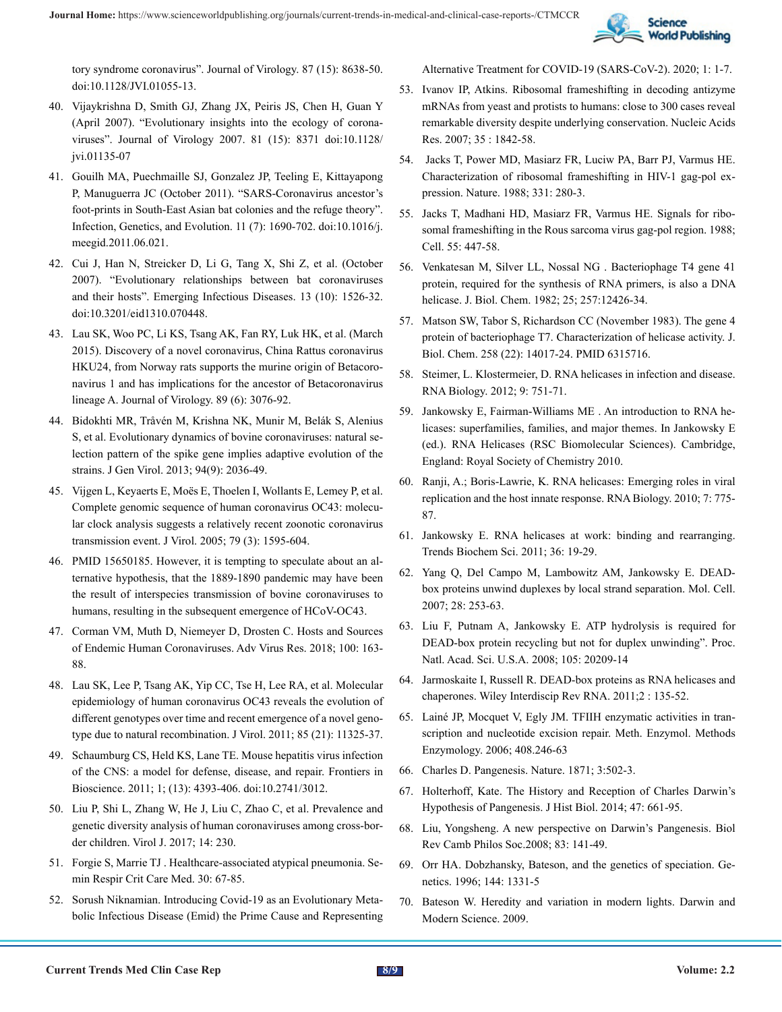

[tory syndrome coronavirus". Journal of Virology. 87 \(15\): 8638-50.](https://pubmed.ncbi.nlm.nih.gov/23720729/) [doi:10.1128/JVI.01055-13.](https://pubmed.ncbi.nlm.nih.gov/23720729/)

- 40. [Vijaykrishna D, Smith GJ, Zhang JX, Peiris JS, Chen H, Guan Y](https://www.ncbi.nlm.nih.gov/pmc/articles/PMC1951313/)  [\(April 2007\). "Evolutionary insights into the ecology of corona](https://www.ncbi.nlm.nih.gov/pmc/articles/PMC1951313/)[viruses". Journal of Virology 2007. 81 \(15\): 8371 doi:10.1128/](https://www.ncbi.nlm.nih.gov/pmc/articles/PMC1951313/) [jvi.01135-07](https://www.ncbi.nlm.nih.gov/pmc/articles/PMC1951313/)
- 41. [Gouilh MA, Puechmaille SJ, Gonzalez JP, Teeling E, Kittayapong](https://pubmed.ncbi.nlm.nih.gov/21763784/) [P, Manuguerra JC \(October 2011\). "SARS-Coronavirus ancestor's](https://pubmed.ncbi.nlm.nih.gov/21763784/)  [foot-prints in South-East Asian bat colonies and the refuge theory".](https://pubmed.ncbi.nlm.nih.gov/21763784/) [Infection, Genetics, and Evolution. 11 \(7\): 1690-702. doi:10.1016/j.](https://pubmed.ncbi.nlm.nih.gov/21763784/) [meegid.2011.06.021.](https://pubmed.ncbi.nlm.nih.gov/21763784/)
- 42. [Cui J, Han N, Streicker D, Li G, Tang X, Shi Z, et al. \(October](https://www.ncbi.nlm.nih.gov/pmc/articles/PMC2851503/)  [2007\). "Evolutionary relationships between bat coronaviruses](https://www.ncbi.nlm.nih.gov/pmc/articles/PMC2851503/)  [and their hosts". Emerging Infectious Diseases. 13 \(10\): 1526-32.](https://www.ncbi.nlm.nih.gov/pmc/articles/PMC2851503/) [doi:10.3201/eid1310.070448.](https://www.ncbi.nlm.nih.gov/pmc/articles/PMC2851503/)
- 43. [Lau SK, Woo PC, Li KS, Tsang AK, Fan RY, Luk HK, et al. \(March](https://pubmed.ncbi.nlm.nih.gov/25552712/) [2015\). Discovery of a novel coronavirus, China Rattus coronavirus](https://pubmed.ncbi.nlm.nih.gov/25552712/) [HKU24, from Norway rats supports the murine origin of Betacoro](https://pubmed.ncbi.nlm.nih.gov/25552712/)[navirus 1 and has implications for the ancestor of Betacoronavirus](https://pubmed.ncbi.nlm.nih.gov/25552712/) [lineage A. Journal of Virology. 89 \(6\): 3076-92.](https://pubmed.ncbi.nlm.nih.gov/25552712/)
- 44. [Bidokhti MR, Tråvén M, Krishna NK, Munir M, Belák S, Alenius](https://pubmed.ncbi.nlm.nih.gov/23804565/) [S, et al. Evolutionary dynamics of bovine coronaviruses: natural se](https://pubmed.ncbi.nlm.nih.gov/23804565/)[lection pattern of the spike gene implies adaptive evolution of the](https://pubmed.ncbi.nlm.nih.gov/23804565/) [strains. J Gen Virol. 2013; 94\(9\): 2036-49.](https://pubmed.ncbi.nlm.nih.gov/23804565/)
- 45. [Vijgen L, Keyaerts E, Moës E, Thoelen I, Wollants E, Lemey P, et al.](https://pubmed.ncbi.nlm.nih.gov/15650185/) [Complete genomic sequence of human coronavirus OC43: molecu](https://pubmed.ncbi.nlm.nih.gov/15650185/)[lar clock analysis suggests a relatively recent zoonotic coronavirus](https://pubmed.ncbi.nlm.nih.gov/15650185/) [transmission event. J Virol. 2005; 79 \(3\): 1595-604.](https://pubmed.ncbi.nlm.nih.gov/15650185/)
- 46. PMID 15650185. However, it is tempting to speculate about an alternative hypothesis, that the 1889-1890 pandemic may have been the result of interspecies transmission of bovine coronaviruses to humans, resulting in the subsequent emergence of HCoV-OC43.
- 47. [Corman VM, Muth D, Niemeyer D, Drosten C. Hosts and Sources](https://pubmed.ncbi.nlm.nih.gov/29551135/) [of Endemic Human Coronaviruses. Adv Virus Res. 2018; 100: 163-](https://pubmed.ncbi.nlm.nih.gov/29551135/) [88.](https://pubmed.ncbi.nlm.nih.gov/29551135/)
- 48. [Lau SK, Lee P, Tsang AK, Yip CC, Tse H, Lee RA, et al. Molecular](https://pubmed.ncbi.nlm.nih.gov/21849456/) [epidemiology of human coronavirus OC43 reveals the evolution of](https://pubmed.ncbi.nlm.nih.gov/21849456/) [different genotypes over time and recent emergence of a novel geno](https://pubmed.ncbi.nlm.nih.gov/21849456/)[type due to natural recombination. J Virol. 2011; 85 \(21\): 11325-37.](https://pubmed.ncbi.nlm.nih.gov/21849456/)
- 49. [Schaumburg CS, Held KS, Lane TE. Mouse hepatitis virus infection](https://pubmed.ncbi.nlm.nih.gov/18508518/) [of the CNS: a model for defense, disease, and repair. Frontiers in](https://pubmed.ncbi.nlm.nih.gov/18508518/) [Bioscience. 2011; 1; \(13\): 4393-406. doi:10.2741/3012.](https://pubmed.ncbi.nlm.nih.gov/18508518/)
- 50. [Liu P, Shi L, Zhang W, He J, Liu C, Zhao C, et al. Prevalence and](https://www.ncbi.nlm.nih.gov/pmc/articles/PMC5700739/) [genetic diversity analysis of human coronaviruses among cross-bor](https://www.ncbi.nlm.nih.gov/pmc/articles/PMC5700739/)[der children. Virol J. 2017; 14: 230.](https://www.ncbi.nlm.nih.gov/pmc/articles/PMC5700739/)
- 51. [Forgie S, Marrie TJ . Healthcare-associated atypical pneumonia. Se](https://pubmed.ncbi.nlm.nih.gov/19199189/#:~:text=Although there are over 100,%2C HCoV NL63%2C HCoV HKU1%3B)[min Respir Crit Care Med. 30: 67-85.](https://pubmed.ncbi.nlm.nih.gov/19199189/#:~:text=Although there are over 100,%2C HCoV NL63%2C HCoV HKU1%3B)
- 52. [Sorush Niknamian. Introducing Covid-19 as an Evolutionary Meta](https://www.oatext.com/introducing-covid-19-as-an-evolutionary-metabolic-infectious-disease-emid-the-prime-cause-and-representing-alternative-treatment-for-covid-19-sars-cov-2.php)[bolic Infectious Disease \(Emid\) the Prime Cause and Representing](https://www.oatext.com/introducing-covid-19-as-an-evolutionary-metabolic-infectious-disease-emid-the-prime-cause-and-representing-alternative-treatment-for-covid-19-sars-cov-2.php)

[Alternative Treatment for COVID-19 \(SARS-CoV-2\). 2020; 1: 1-7.](https://www.oatext.com/introducing-covid-19-as-an-evolutionary-metabolic-infectious-disease-emid-the-prime-cause-and-representing-alternative-treatment-for-covid-19-sars-cov-2.php)

- 53. [Ivanov IP, Atkins. Ribosomal frameshifting in decoding antizyme](https://pubmed.ncbi.nlm.nih.gov/17332016/) [mRNAs from yeast and protists to humans: close to 300 cases reveal](https://pubmed.ncbi.nlm.nih.gov/17332016/) [remarkable diversity despite underlying conservation. Nucleic Acids](https://pubmed.ncbi.nlm.nih.gov/17332016/) [Res. 2007; 35 : 1842-58.](https://pubmed.ncbi.nlm.nih.gov/17332016/)
- 54. [Jacks T, Power MD, Masiarz FR, Luciw PA, Barr PJ, Varmus HE.](https://pubmed.ncbi.nlm.nih.gov/2447506/)  [Characterization of ribosomal frameshifting in HIV-1 gag-pol ex](https://pubmed.ncbi.nlm.nih.gov/2447506/)[pression. Nature. 1988; 331: 280-3.](https://pubmed.ncbi.nlm.nih.gov/2447506/)
- 55. [Jacks T, Madhani HD, Masiarz FR, Varmus HE. Signals for ribo](https://pubmed.ncbi.nlm.nih.gov/2846182/#:~:text=The gag%2Dpol protein of,reading frames by ribosomal frameshifting.&text=Mutations in RSV pol also,gag%2Dpol protein in vitro.)[somal frameshifting in the Rous sarcoma virus gag-pol region. 1988;](https://pubmed.ncbi.nlm.nih.gov/2846182/#:~:text=The gag%2Dpol protein of,reading frames by ribosomal frameshifting.&text=Mutations in RSV pol also,gag%2Dpol protein in vitro.) [Cell. 55: 447-58.](https://pubmed.ncbi.nlm.nih.gov/2846182/#:~:text=The gag%2Dpol protein of,reading frames by ribosomal frameshifting.&text=Mutations in RSV pol also,gag%2Dpol protein in vitro.)
- 56. [Venkatesan M, Silver LL, Nossal NG . Bacteriophage T4 gene 41](https://pubmed.ncbi.nlm.nih.gov/6288720/#:~:text=We now show that a,amber mutation in gene 41.)  [protein, required for the synthesis of RNA primers, is also a DNA](https://pubmed.ncbi.nlm.nih.gov/6288720/#:~:text=We now show that a,amber mutation in gene 41.) [helicase. J. Biol. Chem. 1982; 25; 257:12426-34.](https://pubmed.ncbi.nlm.nih.gov/6288720/#:~:text=We now show that a,amber mutation in gene 41.)
- 57. Matson SW, Tabor S, Richardson CC (November 1983). The gene 4 protein of bacteriophage T7. Characterization of helicase activity. J. Biol. Chem. 258 (22): 14017-24. PMID 6315716.
- 58. [Steimer, L. Klostermeier, D. RNA helicases in infection and disease.](https://pubmed.ncbi.nlm.nih.gov/22699555/#:~:text=Vertebrate RNA helicases sense viral,%2C cancer%2C and aging processes.) [RNA Biology. 2012; 9: 751-71.](https://pubmed.ncbi.nlm.nih.gov/22699555/#:~:text=Vertebrate RNA helicases sense viral,%2C cancer%2C and aging processes.)
- 59. [Jankowsky E, Fairman-Williams ME . An introduction to RNA he](https://pubs.rsc.org/en/content/chapter/bk9781847559142-00001/978-1-84755-914-2)[licases: superfamilies, families, and major themes. In Jankowsky E](https://pubs.rsc.org/en/content/chapter/bk9781847559142-00001/978-1-84755-914-2) [\(ed.\). RNA Helicases \(RSC Biomolecular Sciences\). Cambridge,](https://pubs.rsc.org/en/content/chapter/bk9781847559142-00001/978-1-84755-914-2)  [England: Royal Society of Chemistry 2010.](https://pubs.rsc.org/en/content/chapter/bk9781847559142-00001/978-1-84755-914-2)
- 60. [Ranji, A.; Boris-Lawrie, K. RNA helicases: Emerging roles in viral](https://pubmed.ncbi.nlm.nih.gov/21173576/#:~:text=Abstract,in response to viral infection.) [replication and the host innate response. RNA Biology. 2010; 7: 775-](https://pubmed.ncbi.nlm.nih.gov/21173576/#:~:text=Abstract,in response to viral infection.) [87.](https://pubmed.ncbi.nlm.nih.gov/21173576/#:~:text=Abstract,in response to viral infection.)
- 61. [Jankowsky E. RNA helicases at work: binding and rearranging.](https://pubmed.ncbi.nlm.nih.gov/20813532/)  [Trends Biochem Sci. 2011; 36: 19-29.](https://pubmed.ncbi.nlm.nih.gov/20813532/)
- 62. [Yang Q, Del Campo M, Lambowitz AM, Jankowsky E. DEAD](https://pubmed.ncbi.nlm.nih.gov/17964264/#:~:text=No directional movement of the,complex RNA or RNP assemblies.)[box proteins unwind duplexes by local strand separation. Mol. Cell.](https://pubmed.ncbi.nlm.nih.gov/17964264/#:~:text=No directional movement of the,complex RNA or RNP assemblies.) [2007; 28: 253-63.](https://pubmed.ncbi.nlm.nih.gov/17964264/#:~:text=No directional movement of the,complex RNA or RNP assemblies.)
- 63. [Liu F, Putnam A, Jankowsky E. ATP hydrolysis is required for](https://pubmed.ncbi.nlm.nih.gov/19088201/) [DEAD-box protein recycling but not for duplex unwinding". Proc.](https://pubmed.ncbi.nlm.nih.gov/19088201/) [Natl. Acad. Sci. U.S.A. 2008; 105: 20209-14](https://pubmed.ncbi.nlm.nih.gov/19088201/)
- 64. [Jarmoskaite I, Russell R. DEAD-box proteins as RNA helicases and](https://pubmed.ncbi.nlm.nih.gov/21297876/)  [chaperones. Wiley Interdiscip Rev RNA. 2011;2 : 135-52.](https://pubmed.ncbi.nlm.nih.gov/21297876/)
- 65. [Lainé JP, Mocquet V, Egly JM. TFIIH enzymatic activities in tran](https://pubmed.ncbi.nlm.nih.gov/16793373/)[scription and nucleotide excision repair. Meth. Enzymol. Methods](https://pubmed.ncbi.nlm.nih.gov/16793373/) [Enzymology. 2006; 408.246-63](https://pubmed.ncbi.nlm.nih.gov/16793373/)
- 66. [Charles D. Pangenesis. Nature. 1871; 3:502-3.](https://www.nature.com/articles/003502a0)
- 67. [Holterhoff, Kate. The History and Reception of Charles Darwin's](https://pubmed.ncbi.nlm.nih.gov/24570302/) [Hypothesis of Pangenesis. J Hist Biol. 2014; 47: 661-95.](https://pubmed.ncbi.nlm.nih.gov/24570302/)
- 68. [Liu, Yongsheng. A new perspective on Darwin's Pangenesis. Biol](https://pubmed.ncbi.nlm.nih.gov/18429766/#:~:text=He suggested that all cells,finally congregate in the gonads.&text=He found no evidence in,of Pangenesis was largely abandoned.) [Rev Camb Philos Soc.2008; 83: 141-49.](https://pubmed.ncbi.nlm.nih.gov/18429766/#:~:text=He suggested that all cells,finally congregate in the gonads.&text=He found no evidence in,of Pangenesis was largely abandoned.)
- 69. [Orr HA. Dobzhansky, Bateson, and the genetics of speciation. Ge](https://www.ncbi.nlm.nih.gov/pmc/articles/PMC1207686/)[netics. 1996; 144: 1331-5](https://www.ncbi.nlm.nih.gov/pmc/articles/PMC1207686/)
- 70. [Bateson W. Heredity and variation in modern lights. Darwin and](https://www.researchgate.net/publication/284651460_Heredity_and_Variation_in_Modern_Lights) [Modern Science. 2009.](https://www.researchgate.net/publication/284651460_Heredity_and_Variation_in_Modern_Lights)